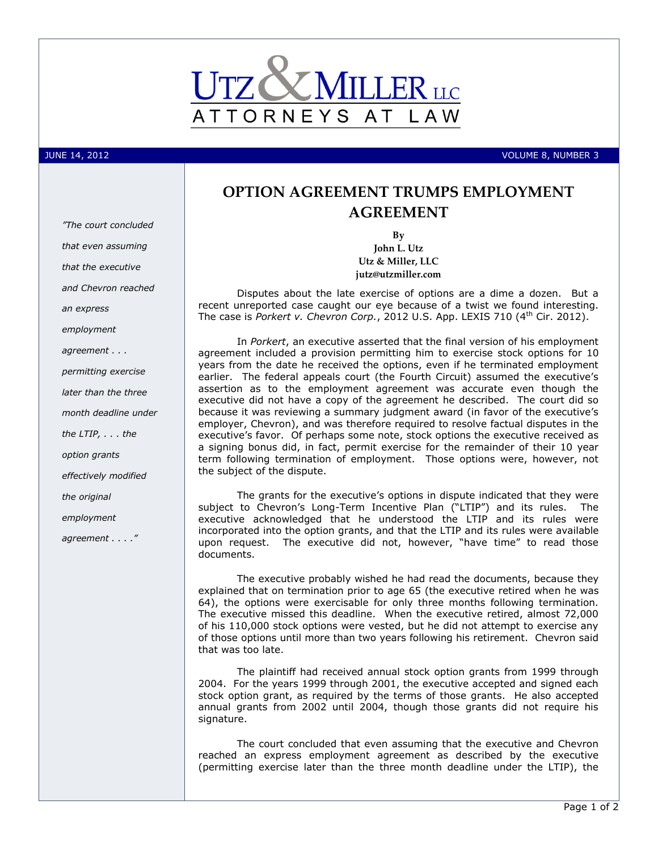

JUNE 14, 2012 VOLUME 8, NUMBER 3

# **OPTION AGREEMENT TRUMPS EMPLOYMENT AGREEMENT**

**By John L. Utz Utz & Miller, LLC jutz@utzmiller.com**

Disputes about the late exercise of options are a dime a dozen. But a recent unreported case caught our eye because of a twist we found interesting. The case is *Porkert v. Chevron Corp.*, 2012 U.S. App. LEXIS 710 (4<sup>th</sup> Cir. 2012).

In *Porkert*, an executive asserted that the final version of his employment agreement included a provision permitting him to exercise stock options for 10 years from the date he received the options, even if he terminated employment earlier. The federal appeals court (the Fourth Circuit) assumed the executive's assertion as to the employment agreement was accurate even though the executive did not have a copy of the agreement he described. The court did so because it was reviewing a summary judgment award (in favor of the executive's employer, Chevron), and was therefore required to resolve factual disputes in the executive's favor. Of perhaps some note, stock options the executive received as a signing bonus did, in fact, permit exercise for the remainder of their 10 year term following termination of employment. Those options were, however, not the subject of the dispute.

The grants for the executive's options in dispute indicated that they were subject to Chevron's Long-Term Incentive Plan ("LTIP") and its rules. The executive acknowledged that he understood the LTIP and its rules were incorporated into the option grants, and that the LTIP and its rules were available upon request. The executive did not, however, "have time" to read those documents.

The executive probably wished he had read the documents, because they explained that on termination prior to age 65 (the executive retired when he was 64), the options were exercisable for only three months following termination. The executive missed this deadline. When the executive retired, almost 72,000 of his 110,000 stock options were vested, but he did not attempt to exercise any of those options until more than two years following his retirement. Chevron said that was too late.

The plaintiff had received annual stock option grants from 1999 through 2004. For the years 1999 through 2001, the executive accepted and signed each stock option grant, as required by the terms of those grants. He also accepted annual grants from 2002 until 2004, though those grants did not require his signature.

The court concluded that even assuming that the executive and Chevron reached an express employment agreement as described by the executive (permitting exercise later than the three month deadline under the LTIP), the

*"The court concluded that even assuming that the executive and Chevron reached an express employment agreement . . . permitting exercise later than the three month deadline under the LTIP, . . . the option grants effectively modified the original employment agreement . . . ."*